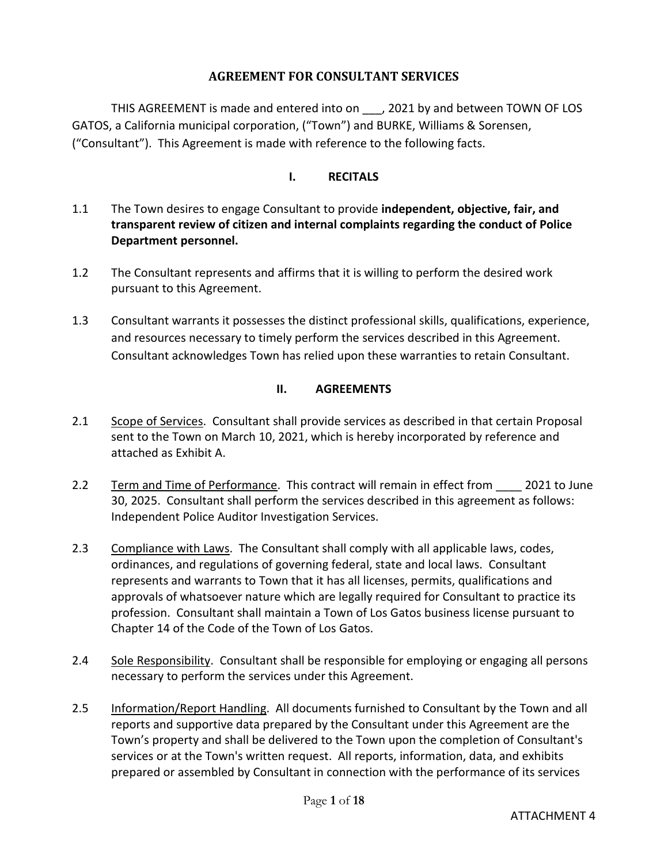## **AGREEMENT FOR CONSULTANT SERVICES**

THIS AGREEMENT is made and entered into on \_\_\_, 2021 by and between TOWN OF LOS GATOS, a California municipal corporation, ("Town") and BURKE, Williams & Sorensen, ("Consultant"). This Agreement is made with reference to the following facts.

## **I. RECITALS**

- 1.1 The Town desires to engage Consultant to provide **independent, objective, fair, and transparent review of citizen and internal complaints regarding the conduct of Police Department personnel.**
- 1.2 The Consultant represents and affirms that it is willing to perform the desired work pursuant to this Agreement.
- 1.3 Consultant warrants it possesses the distinct professional skills, qualifications, experience, and resources necessary to timely perform the services described in this Agreement. Consultant acknowledges Town has relied upon these warranties to retain Consultant.

## **II. AGREEMENTS**

- 2.1 Scope of Services. Consultant shall provide services as described in that certain Proposal sent to the Town on March 10, 2021, which is hereby incorporated by reference and attached as Exhibit A.
- 2.2 Term and Time of Performance. This contract will remain in effect from 2021 to June 30, 2025. Consultant shall perform the services described in this agreement as follows: Independent Police Auditor Investigation Services.
- 2.3 Compliance with Laws. The Consultant shall comply with all applicable laws, codes, ordinances, and regulations of governing federal, state and local laws. Consultant represents and warrants to Town that it has all licenses, permits, qualifications and approvals of whatsoever nature which are legally required for Consultant to practice its profession. Consultant shall maintain a Town of Los Gatos business license pursuant to Chapter 14 of the Code of the Town of Los Gatos.
- 2.4 Sole Responsibility. Consultant shall be responsible for employing or engaging all persons necessary to perform the services under this Agreement.
- 2.5 Information/Report Handling. All documents furnished to Consultant by the Town and all reports and supportive data prepared by the Consultant under this Agreement are the Town's property and shall be delivered to the Town upon the completion of Consultant's services or at the Town's written request. All reports, information, data, and exhibits prepared or assembled by Consultant in connection with the performance of its services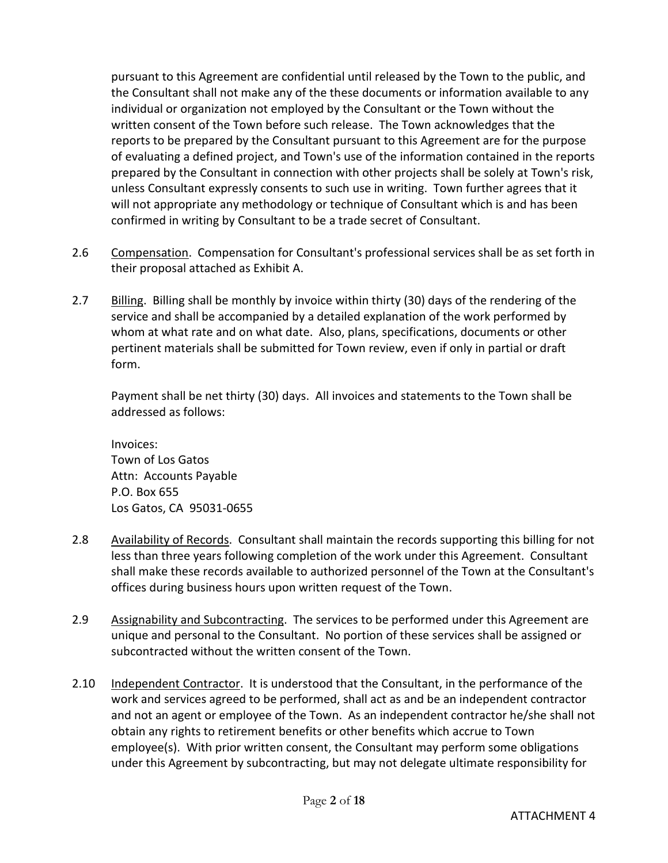pursuant to this Agreement are confidential until released by the Town to the public, and the Consultant shall not make any of the these documents or information available to any individual or organization not employed by the Consultant or the Town without the written consent of the Town before such release. The Town acknowledges that the reports to be prepared by the Consultant pursuant to this Agreement are for the purpose of evaluating a defined project, and Town's use of the information contained in the reports prepared by the Consultant in connection with other projects shall be solely at Town's risk, unless Consultant expressly consents to such use in writing. Town further agrees that it will not appropriate any methodology or technique of Consultant which is and has been confirmed in writing by Consultant to be a trade secret of Consultant.

- 2.6 Compensation. Compensation for Consultant's professional services shall be as set forth in their proposal attached as Exhibit A.
- 2.7 Billing. Billing shall be monthly by invoice within thirty (30) days of the rendering of the service and shall be accompanied by a detailed explanation of the work performed by whom at what rate and on what date. Also, plans, specifications, documents or other pertinent materials shall be submitted for Town review, even if only in partial or draft form.

Payment shall be net thirty (30) days. All invoices and statements to the Town shall be addressed as follows:

Invoices: Town of Los Gatos Attn: Accounts Payable P.O. Box 655 Los Gatos, CA 95031-0655

- 2.8 Availability of Records. Consultant shall maintain the records supporting this billing for not less than three years following completion of the work under this Agreement. Consultant shall make these records available to authorized personnel of the Town at the Consultant's offices during business hours upon written request of the Town.
- 2.9 Assignability and Subcontracting. The services to be performed under this Agreement are unique and personal to the Consultant. No portion of these services shall be assigned or subcontracted without the written consent of the Town.
- 2.10 Independent Contractor. It is understood that the Consultant, in the performance of the work and services agreed to be performed, shall act as and be an independent contractor and not an agent or employee of the Town. As an independent contractor he/she shall not obtain any rights to retirement benefits or other benefits which accrue to Town employee(s). With prior written consent, the Consultant may perform some obligations under this Agreement by subcontracting, but may not delegate ultimate responsibility for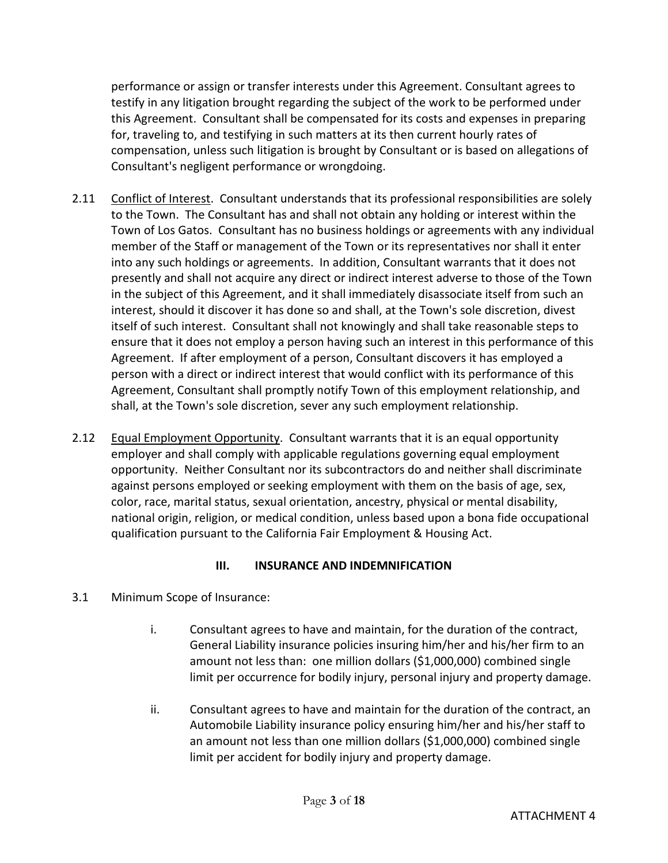performance or assign or transfer interests under this Agreement. Consultant agrees to testify in any litigation brought regarding the subject of the work to be performed under this Agreement. Consultant shall be compensated for its costs and expenses in preparing for, traveling to, and testifying in such matters at its then current hourly rates of compensation, unless such litigation is brought by Consultant or is based on allegations of Consultant's negligent performance or wrongdoing.

- 2.11 Conflict of Interest. Consultant understands that its professional responsibilities are solely to the Town. The Consultant has and shall not obtain any holding or interest within the Town of Los Gatos. Consultant has no business holdings or agreements with any individual member of the Staff or management of the Town or its representatives nor shall it enter into any such holdings or agreements. In addition, Consultant warrants that it does not presently and shall not acquire any direct or indirect interest adverse to those of the Town in the subject of this Agreement, and it shall immediately disassociate itself from such an interest, should it discover it has done so and shall, at the Town's sole discretion, divest itself of such interest. Consultant shall not knowingly and shall take reasonable steps to ensure that it does not employ a person having such an interest in this performance of this Agreement. If after employment of a person, Consultant discovers it has employed a person with a direct or indirect interest that would conflict with its performance of this Agreement, Consultant shall promptly notify Town of this employment relationship, and shall, at the Town's sole discretion, sever any such employment relationship.
- 2.12 Equal Employment Opportunity. Consultant warrants that it is an equal opportunity employer and shall comply with applicable regulations governing equal employment opportunity. Neither Consultant nor its subcontractors do and neither shall discriminate against persons employed or seeking employment with them on the basis of age, sex, color, race, marital status, sexual orientation, ancestry, physical or mental disability, national origin, religion, or medical condition, unless based upon a bona fide occupational qualification pursuant to the California Fair Employment & Housing Act.

# **III. INSURANCE AND INDEMNIFICATION**

- 3.1 Minimum Scope of Insurance:
	- i. Consultant agrees to have and maintain, for the duration of the contract, General Liability insurance policies insuring him/her and his/her firm to an amount not less than: one million dollars (\$1,000,000) combined single limit per occurrence for bodily injury, personal injury and property damage.
	- ii. Consultant agrees to have and maintain for the duration of the contract, an Automobile Liability insurance policy ensuring him/her and his/her staff to an amount not less than one million dollars (\$1,000,000) combined single limit per accident for bodily injury and property damage.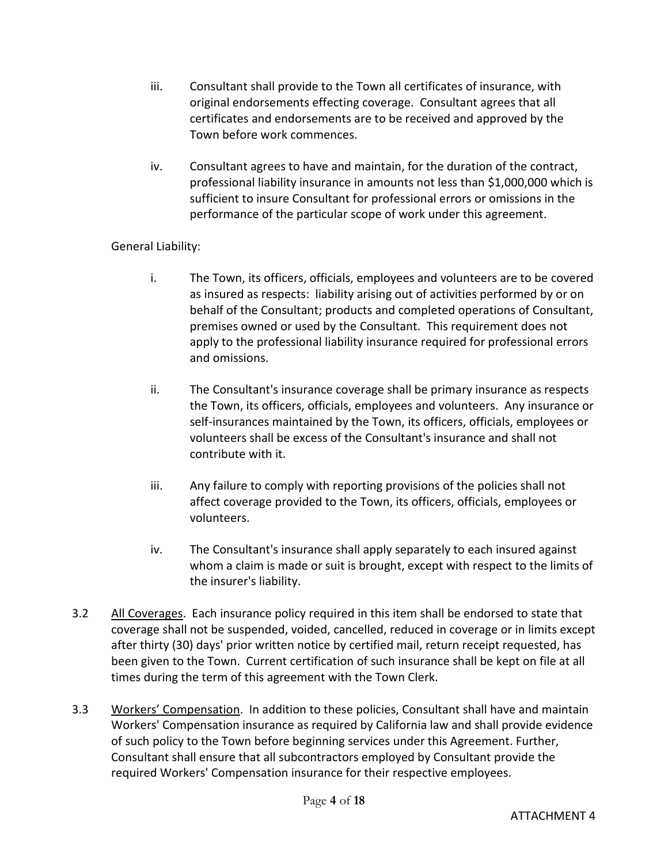- iii. Consultant shall provide to the Town all certificates of insurance, with original endorsements effecting coverage. Consultant agrees that all certificates and endorsements are to be received and approved by the Town before work commences.
- iv. Consultant agrees to have and maintain, for the duration of the contract, professional liability insurance in amounts not less than \$1,000,000 which is sufficient to insure Consultant for professional errors or omissions in the performance of the particular scope of work under this agreement.

## General Liability:

- i. The Town, its officers, officials, employees and volunteers are to be covered as insured as respects: liability arising out of activities performed by or on behalf of the Consultant; products and completed operations of Consultant, premises owned or used by the Consultant. This requirement does not apply to the professional liability insurance required for professional errors and omissions.
- ii. The Consultant's insurance coverage shall be primary insurance as respects the Town, its officers, officials, employees and volunteers. Any insurance or self-insurances maintained by the Town, its officers, officials, employees or volunteers shall be excess of the Consultant's insurance and shall not contribute with it.
- iii. Any failure to comply with reporting provisions of the policies shall not affect coverage provided to the Town, its officers, officials, employees or volunteers.
- iv. The Consultant's insurance shall apply separately to each insured against whom a claim is made or suit is brought, except with respect to the limits of the insurer's liability.
- 3.2 All Coverages. Each insurance policy required in this item shall be endorsed to state that coverage shall not be suspended, voided, cancelled, reduced in coverage or in limits except after thirty (30) days' prior written notice by certified mail, return receipt requested, has been given to the Town. Current certification of such insurance shall be kept on file at all times during the term of this agreement with the Town Clerk.
- 3.3 Workers' Compensation. In addition to these policies, Consultant shall have and maintain Workers' Compensation insurance as required by California law and shall provide evidence of such policy to the Town before beginning services under this Agreement. Further, Consultant shall ensure that all subcontractors employed by Consultant provide the required Workers' Compensation insurance for their respective employees.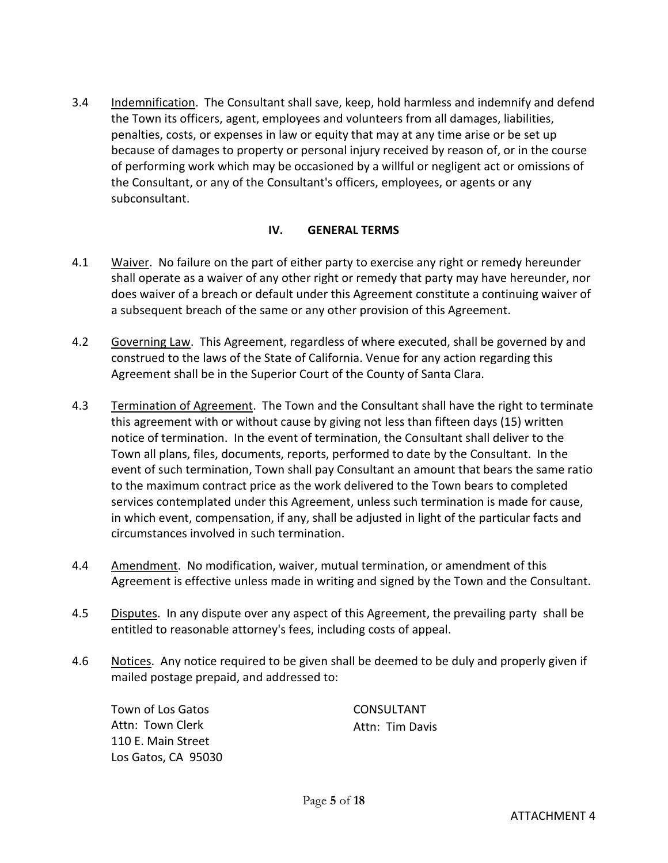3.4 Indemnification. The Consultant shall save, keep, hold harmless and indemnify and defend the Town its officers, agent, employees and volunteers from all damages, liabilities, penalties, costs, or expenses in law or equity that may at any time arise or be set up because of damages to property or personal injury received by reason of, or in the course of performing work which may be occasioned by a willful or negligent act or omissions of the Consultant, or any of the Consultant's officers, employees, or agents or any subconsultant.

#### **IV. GENERAL TERMS**

- 4.1 Waiver. No failure on the part of either party to exercise any right or remedy hereunder shall operate as a waiver of any other right or remedy that party may have hereunder, nor does waiver of a breach or default under this Agreement constitute a continuing waiver of a subsequent breach of the same or any other provision of this Agreement.
- 4.2 Governing Law. This Agreement, regardless of where executed, shall be governed by and construed to the laws of the State of California. Venue for any action regarding this Agreement shall be in the Superior Court of the County of Santa Clara.
- 4.3 Termination of Agreement. The Town and the Consultant shall have the right to terminate this agreement with or without cause by giving not less than fifteen days (15) written notice of termination. In the event of termination, the Consultant shall deliver to the Town all plans, files, documents, reports, performed to date by the Consultant. In the event of such termination, Town shall pay Consultant an amount that bears the same ratio to the maximum contract price as the work delivered to the Town bears to completed services contemplated under this Agreement, unless such termination is made for cause, in which event, compensation, if any, shall be adjusted in light of the particular facts and circumstances involved in such termination.
- 4.4 Amendment. No modification, waiver, mutual termination, or amendment of this Agreement is effective unless made in writing and signed by the Town and the Consultant.
- 4.5 Disputes. In any dispute over any aspect of this Agreement, the prevailing party shall be entitled to reasonable attorney's fees, including costs of appeal.
- 4.6 Notices. Any notice required to be given shall be deemed to be duly and properly given if mailed postage prepaid, and addressed to:

Town of Los Gatos Attn: Town Clerk 110 E. Main Street Los Gatos, CA 95030 CONSULTANT Attn: Tim Davis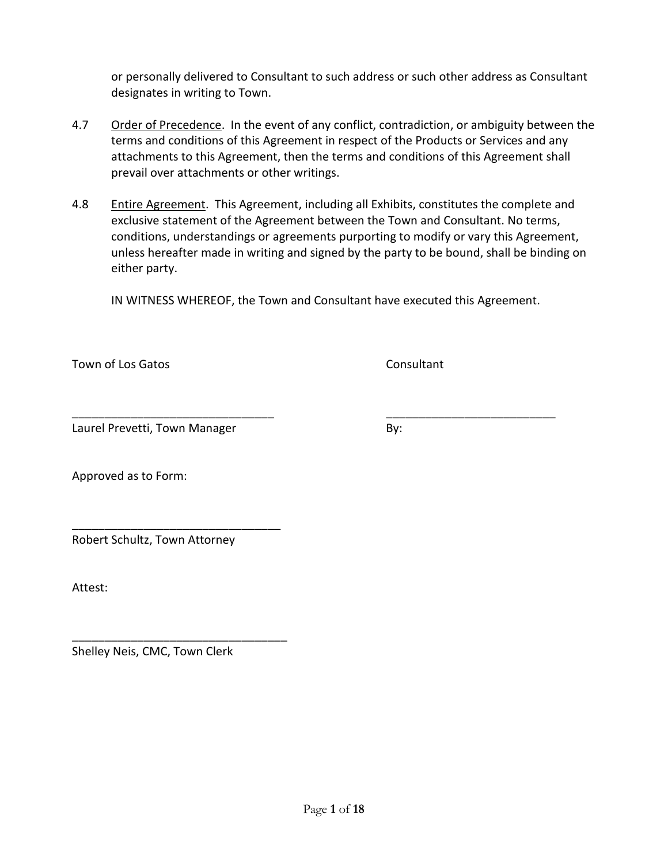or personally delivered to Consultant to such address or such other address as Consultant designates in writing to Town.

- 4.7 Order of Precedence. In the event of any conflict, contradiction, or ambiguity between the terms and conditions of this Agreement in respect of the Products or Services and any attachments to this Agreement, then the terms and conditions of this Agreement shall prevail over attachments or other writings.
- 4.8 Entire Agreement. This Agreement, including all Exhibits, constitutes the complete and exclusive statement of the Agreement between the Town and Consultant. No terms, conditions, understandings or agreements purporting to modify or vary this Agreement, unless hereafter made in writing and signed by the party to be bound, shall be binding on either party.

IN WITNESS WHEREOF, the Town and Consultant have executed this Agreement.

\_\_\_\_\_\_\_\_\_\_\_\_\_\_\_\_\_\_\_\_\_\_\_\_\_\_\_\_\_\_\_ \_\_\_\_\_\_\_\_\_\_\_\_\_\_\_\_\_\_\_\_\_\_\_\_\_\_

Town of Los Gatos **Consultant** 

Laurel Prevetti, Town Manager By:

Approved as to Form:

Robert Schultz, Town Attorney

\_\_\_\_\_\_\_\_\_\_\_\_\_\_\_\_\_\_\_\_\_\_\_\_\_\_\_\_\_\_\_\_

\_\_\_\_\_\_\_\_\_\_\_\_\_\_\_\_\_\_\_\_\_\_\_\_\_\_\_\_\_\_\_\_\_

Attest:

Shelley Neis, CMC, Town Clerk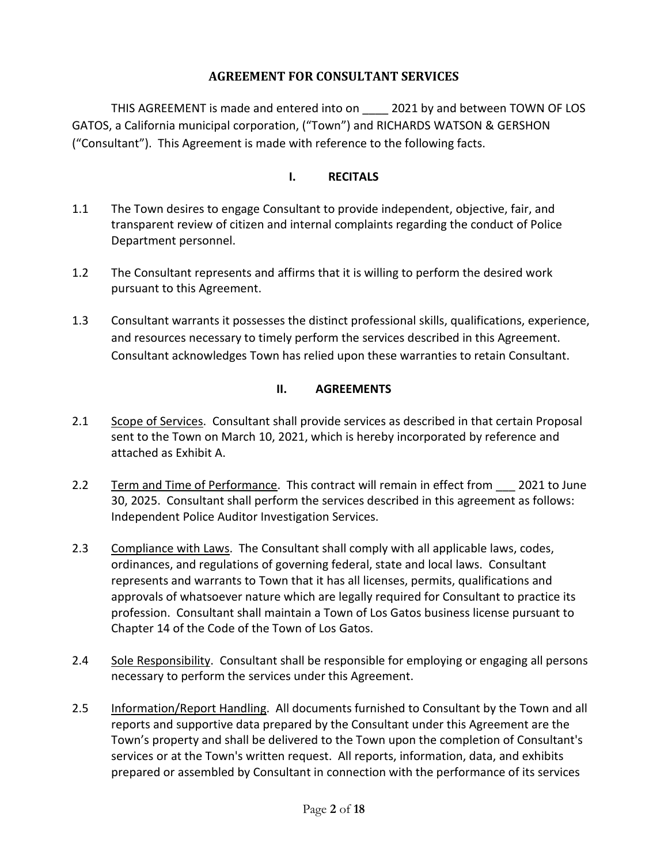# **AGREEMENT FOR CONSULTANT SERVICES**

THIS AGREEMENT is made and entered into on \_\_\_\_ 2021 by and between TOWN OF LOS GATOS, a California municipal corporation, ("Town") and RICHARDS WATSON & GERSHON ("Consultant"). This Agreement is made with reference to the following facts.

#### **I. RECITALS**

- 1.1 The Town desires to engage Consultant to provide independent, objective, fair, and transparent review of citizen and internal complaints regarding the conduct of Police Department personnel.
- 1.2 The Consultant represents and affirms that it is willing to perform the desired work pursuant to this Agreement.
- 1.3 Consultant warrants it possesses the distinct professional skills, qualifications, experience, and resources necessary to timely perform the services described in this Agreement. Consultant acknowledges Town has relied upon these warranties to retain Consultant.

## **II. AGREEMENTS**

- 2.1 Scope of Services. Consultant shall provide services as described in that certain Proposal sent to the Town on March 10, 2021, which is hereby incorporated by reference and attached as Exhibit A.
- 2.2 Term and Time of Performance. This contract will remain in effect from 2021 to June 30, 2025. Consultant shall perform the services described in this agreement as follows: Independent Police Auditor Investigation Services.
- 2.3 Compliance with Laws. The Consultant shall comply with all applicable laws, codes, ordinances, and regulations of governing federal, state and local laws. Consultant represents and warrants to Town that it has all licenses, permits, qualifications and approvals of whatsoever nature which are legally required for Consultant to practice its profession. Consultant shall maintain a Town of Los Gatos business license pursuant to Chapter 14 of the Code of the Town of Los Gatos.
- 2.4 Sole Responsibility. Consultant shall be responsible for employing or engaging all persons necessary to perform the services under this Agreement.
- 2.5 Information/Report Handling. All documents furnished to Consultant by the Town and all reports and supportive data prepared by the Consultant under this Agreement are the Town's property and shall be delivered to the Town upon the completion of Consultant's services or at the Town's written request. All reports, information, data, and exhibits prepared or assembled by Consultant in connection with the performance of its services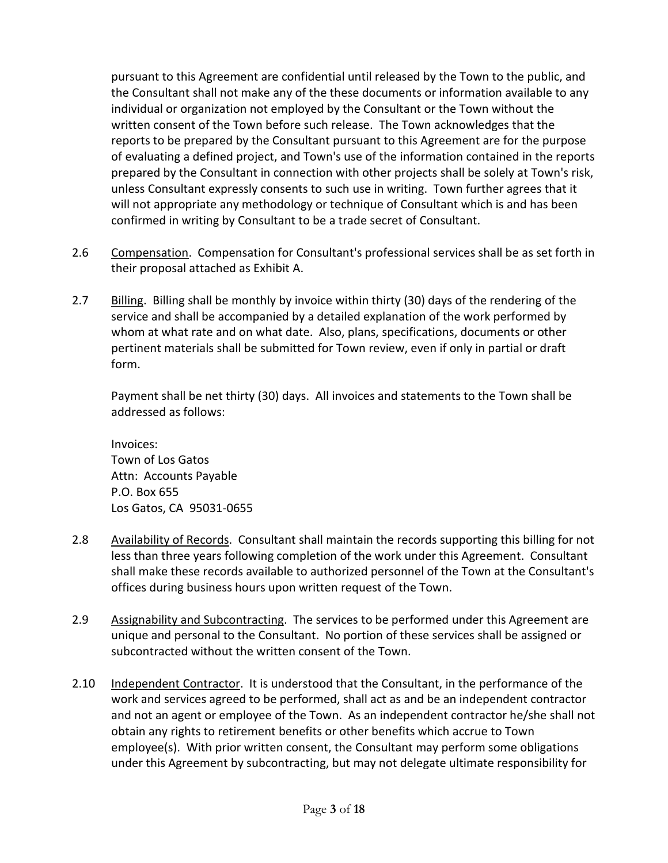pursuant to this Agreement are confidential until released by the Town to the public, and the Consultant shall not make any of the these documents or information available to any individual or organization not employed by the Consultant or the Town without the written consent of the Town before such release. The Town acknowledges that the reports to be prepared by the Consultant pursuant to this Agreement are for the purpose of evaluating a defined project, and Town's use of the information contained in the reports prepared by the Consultant in connection with other projects shall be solely at Town's risk, unless Consultant expressly consents to such use in writing. Town further agrees that it will not appropriate any methodology or technique of Consultant which is and has been confirmed in writing by Consultant to be a trade secret of Consultant.

- 2.6 Compensation. Compensation for Consultant's professional services shall be as set forth in their proposal attached as Exhibit A.
- 2.7 Billing. Billing shall be monthly by invoice within thirty (30) days of the rendering of the service and shall be accompanied by a detailed explanation of the work performed by whom at what rate and on what date. Also, plans, specifications, documents or other pertinent materials shall be submitted for Town review, even if only in partial or draft form.

Payment shall be net thirty (30) days. All invoices and statements to the Town shall be addressed as follows:

Invoices: Town of Los Gatos Attn: Accounts Payable P.O. Box 655 Los Gatos, CA 95031-0655

- 2.8 Availability of Records. Consultant shall maintain the records supporting this billing for not less than three years following completion of the work under this Agreement. Consultant shall make these records available to authorized personnel of the Town at the Consultant's offices during business hours upon written request of the Town.
- 2.9 Assignability and Subcontracting. The services to be performed under this Agreement are unique and personal to the Consultant. No portion of these services shall be assigned or subcontracted without the written consent of the Town.
- 2.10 Independent Contractor. It is understood that the Consultant, in the performance of the work and services agreed to be performed, shall act as and be an independent contractor and not an agent or employee of the Town. As an independent contractor he/she shall not obtain any rights to retirement benefits or other benefits which accrue to Town employee(s). With prior written consent, the Consultant may perform some obligations under this Agreement by subcontracting, but may not delegate ultimate responsibility for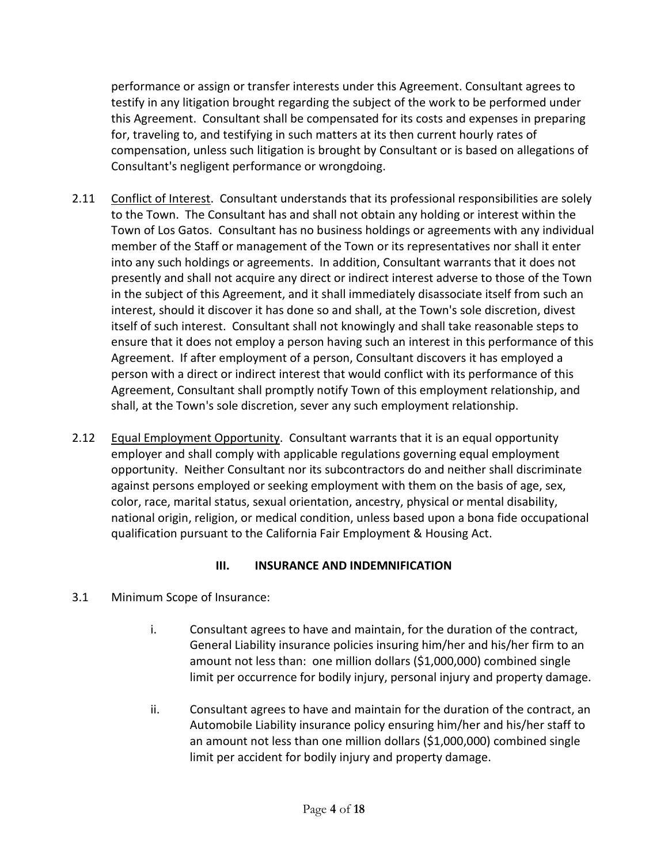performance or assign or transfer interests under this Agreement. Consultant agrees to testify in any litigation brought regarding the subject of the work to be performed under this Agreement. Consultant shall be compensated for its costs and expenses in preparing for, traveling to, and testifying in such matters at its then current hourly rates of compensation, unless such litigation is brought by Consultant or is based on allegations of Consultant's negligent performance or wrongdoing.

- 2.11 Conflict of Interest. Consultant understands that its professional responsibilities are solely to the Town. The Consultant has and shall not obtain any holding or interest within the Town of Los Gatos. Consultant has no business holdings or agreements with any individual member of the Staff or management of the Town or its representatives nor shall it enter into any such holdings or agreements. In addition, Consultant warrants that it does not presently and shall not acquire any direct or indirect interest adverse to those of the Town in the subject of this Agreement, and it shall immediately disassociate itself from such an interest, should it discover it has done so and shall, at the Town's sole discretion, divest itself of such interest. Consultant shall not knowingly and shall take reasonable steps to ensure that it does not employ a person having such an interest in this performance of this Agreement. If after employment of a person, Consultant discovers it has employed a person with a direct or indirect interest that would conflict with its performance of this Agreement, Consultant shall promptly notify Town of this employment relationship, and shall, at the Town's sole discretion, sever any such employment relationship.
- 2.12 Equal Employment Opportunity. Consultant warrants that it is an equal opportunity employer and shall comply with applicable regulations governing equal employment opportunity. Neither Consultant nor its subcontractors do and neither shall discriminate against persons employed or seeking employment with them on the basis of age, sex, color, race, marital status, sexual orientation, ancestry, physical or mental disability, national origin, religion, or medical condition, unless based upon a bona fide occupational qualification pursuant to the California Fair Employment & Housing Act.

# **III. INSURANCE AND INDEMNIFICATION**

- 3.1 Minimum Scope of Insurance:
	- i. Consultant agrees to have and maintain, for the duration of the contract, General Liability insurance policies insuring him/her and his/her firm to an amount not less than: one million dollars (\$1,000,000) combined single limit per occurrence for bodily injury, personal injury and property damage.
	- ii. Consultant agrees to have and maintain for the duration of the contract, an Automobile Liability insurance policy ensuring him/her and his/her staff to an amount not less than one million dollars (\$1,000,000) combined single limit per accident for bodily injury and property damage.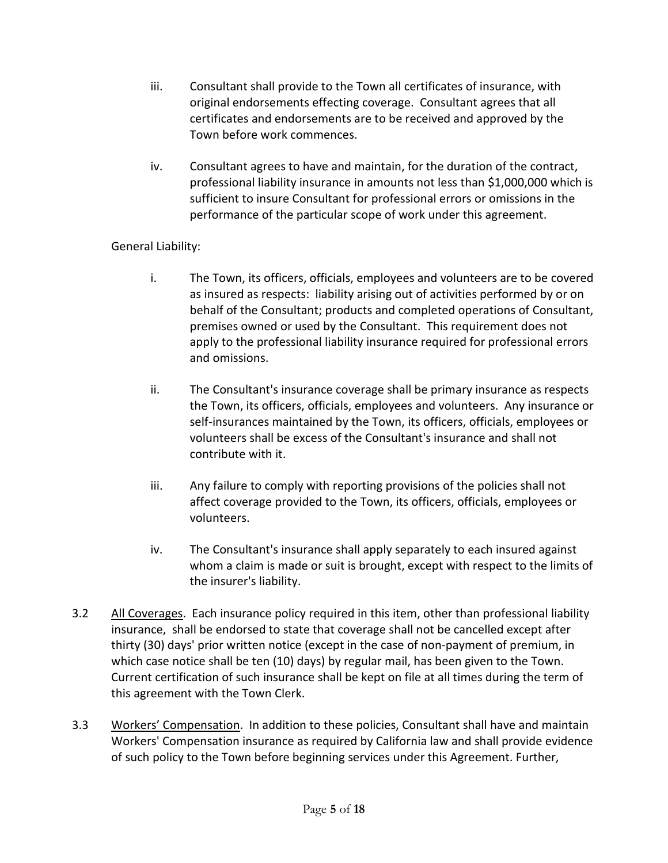- iii. Consultant shall provide to the Town all certificates of insurance, with original endorsements effecting coverage. Consultant agrees that all certificates and endorsements are to be received and approved by the Town before work commences.
- iv. Consultant agrees to have and maintain, for the duration of the contract, professional liability insurance in amounts not less than \$1,000,000 which is sufficient to insure Consultant for professional errors or omissions in the performance of the particular scope of work under this agreement.

# General Liability:

- i. The Town, its officers, officials, employees and volunteers are to be covered as insured as respects: liability arising out of activities performed by or on behalf of the Consultant; products and completed operations of Consultant, premises owned or used by the Consultant. This requirement does not apply to the professional liability insurance required for professional errors and omissions.
- ii. The Consultant's insurance coverage shall be primary insurance as respects the Town, its officers, officials, employees and volunteers. Any insurance or self-insurances maintained by the Town, its officers, officials, employees or volunteers shall be excess of the Consultant's insurance and shall not contribute with it.
- iii. Any failure to comply with reporting provisions of the policies shall not affect coverage provided to the Town, its officers, officials, employees or volunteers.
- iv. The Consultant's insurance shall apply separately to each insured against whom a claim is made or suit is brought, except with respect to the limits of the insurer's liability.
- 3.2 All Coverages. Each insurance policy required in this item, other than professional liability insurance, shall be endorsed to state that coverage shall not be cancelled except after thirty (30) days' prior written notice (except in the case of non-payment of premium, in which case notice shall be ten (10) days) by regular mail, has been given to the Town. Current certification of such insurance shall be kept on file at all times during the term of this agreement with the Town Clerk.
- 3.3 Workers' Compensation. In addition to these policies, Consultant shall have and maintain Workers' Compensation insurance as required by California law and shall provide evidence of such policy to the Town before beginning services under this Agreement. Further,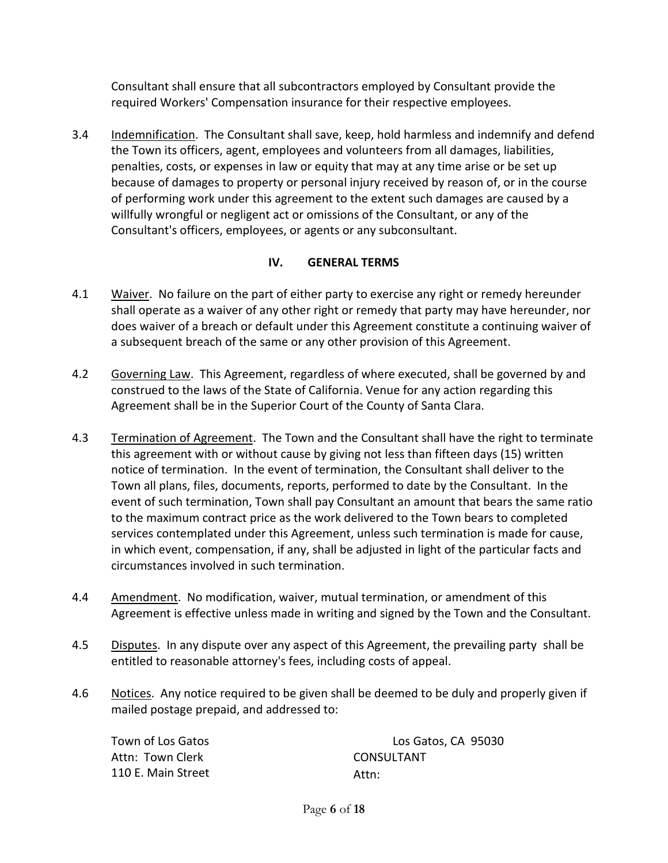Consultant shall ensure that all subcontractors employed by Consultant provide the required Workers' Compensation insurance for their respective employees.

3.4 Indemnification. The Consultant shall save, keep, hold harmless and indemnify and defend the Town its officers, agent, employees and volunteers from all damages, liabilities, penalties, costs, or expenses in law or equity that may at any time arise or be set up because of damages to property or personal injury received by reason of, or in the course of performing work under this agreement to the extent such damages are caused by a willfully wrongful or negligent act or omissions of the Consultant, or any of the Consultant's officers, employees, or agents or any subconsultant.

## **IV. GENERAL TERMS**

- 4.1 Waiver. No failure on the part of either party to exercise any right or remedy hereunder shall operate as a waiver of any other right or remedy that party may have hereunder, nor does waiver of a breach or default under this Agreement constitute a continuing waiver of a subsequent breach of the same or any other provision of this Agreement.
- 4.2 Governing Law. This Agreement, regardless of where executed, shall be governed by and construed to the laws of the State of California. Venue for any action regarding this Agreement shall be in the Superior Court of the County of Santa Clara.
- 4.3 Termination of Agreement. The Town and the Consultant shall have the right to terminate this agreement with or without cause by giving not less than fifteen days (15) written notice of termination. In the event of termination, the Consultant shall deliver to the Town all plans, files, documents, reports, performed to date by the Consultant. In the event of such termination, Town shall pay Consultant an amount that bears the same ratio to the maximum contract price as the work delivered to the Town bears to completed services contemplated under this Agreement, unless such termination is made for cause, in which event, compensation, if any, shall be adjusted in light of the particular facts and circumstances involved in such termination.
- 4.4 Amendment. No modification, waiver, mutual termination, or amendment of this Agreement is effective unless made in writing and signed by the Town and the Consultant.
- 4.5 Disputes. In any dispute over any aspect of this Agreement, the prevailing party shall be entitled to reasonable attorney's fees, including costs of appeal.
- 4.6 Notices. Any notice required to be given shall be deemed to be duly and properly given if mailed postage prepaid, and addressed to:

Town of Los Gatos Attn: Town Clerk 110 E. Main Street

Los Gatos, CA 95030 CONSULTANT Attn: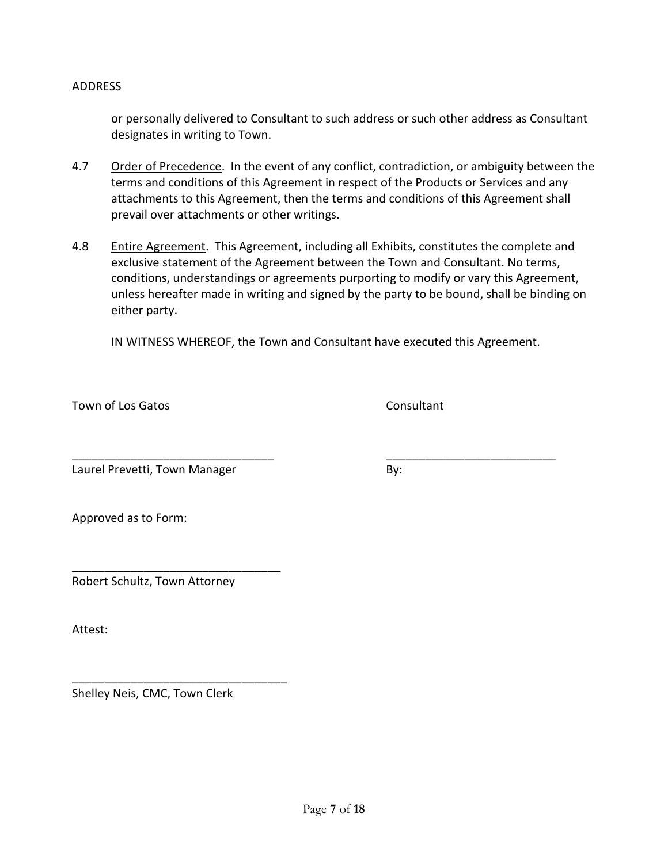#### ADDRESS

or personally delivered to Consultant to such address or such other address as Consultant designates in writing to Town.

- 4.7 Order of Precedence. In the event of any conflict, contradiction, or ambiguity between the terms and conditions of this Agreement in respect of the Products or Services and any attachments to this Agreement, then the terms and conditions of this Agreement shall prevail over attachments or other writings.
- 4.8 Entire Agreement. This Agreement, including all Exhibits, constitutes the complete and exclusive statement of the Agreement between the Town and Consultant. No terms, conditions, understandings or agreements purporting to modify or vary this Agreement, unless hereafter made in writing and signed by the party to be bound, shall be binding on either party.

IN WITNESS WHEREOF, the Town and Consultant have executed this Agreement.

\_\_\_\_\_\_\_\_\_\_\_\_\_\_\_\_\_\_\_\_\_\_\_\_\_\_\_\_\_\_\_ \_\_\_\_\_\_\_\_\_\_\_\_\_\_\_\_\_\_\_\_\_\_\_\_\_\_

Town of Los Gatos Consultant

Laurel Prevetti, Town Manager By:

Approved as to Form:

Robert Schultz, Town Attorney

\_\_\_\_\_\_\_\_\_\_\_\_\_\_\_\_\_\_\_\_\_\_\_\_\_\_\_\_\_\_\_\_

Attest:

\_\_\_\_\_\_\_\_\_\_\_\_\_\_\_\_\_\_\_\_\_\_\_\_\_\_\_\_\_\_\_\_\_ Shelley Neis, CMC, Town Clerk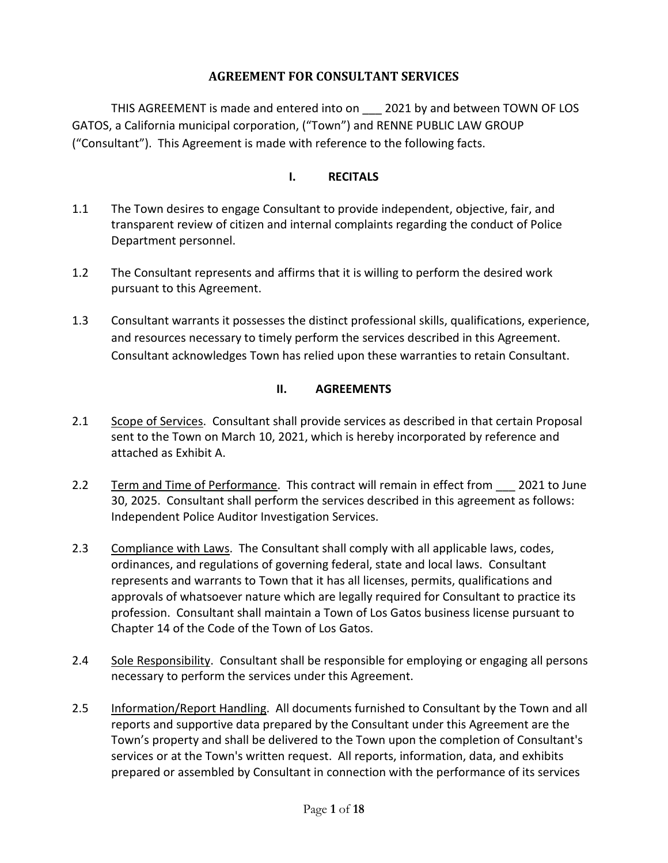# **AGREEMENT FOR CONSULTANT SERVICES**

THIS AGREEMENT is made and entered into on \_\_\_ 2021 by and between TOWN OF LOS GATOS, a California municipal corporation, ("Town") and RENNE PUBLIC LAW GROUP ("Consultant"). This Agreement is made with reference to the following facts.

#### **I. RECITALS**

- 1.1 The Town desires to engage Consultant to provide independent, objective, fair, and transparent review of citizen and internal complaints regarding the conduct of Police Department personnel.
- 1.2 The Consultant represents and affirms that it is willing to perform the desired work pursuant to this Agreement.
- 1.3 Consultant warrants it possesses the distinct professional skills, qualifications, experience, and resources necessary to timely perform the services described in this Agreement. Consultant acknowledges Town has relied upon these warranties to retain Consultant.

## **II. AGREEMENTS**

- 2.1 Scope of Services. Consultant shall provide services as described in that certain Proposal sent to the Town on March 10, 2021, which is hereby incorporated by reference and attached as Exhibit A.
- 2.2 Term and Time of Performance. This contract will remain in effect from 2021 to June 30, 2025. Consultant shall perform the services described in this agreement as follows: Independent Police Auditor Investigation Services.
- 2.3 Compliance with Laws. The Consultant shall comply with all applicable laws, codes, ordinances, and regulations of governing federal, state and local laws. Consultant represents and warrants to Town that it has all licenses, permits, qualifications and approvals of whatsoever nature which are legally required for Consultant to practice its profession. Consultant shall maintain a Town of Los Gatos business license pursuant to Chapter 14 of the Code of the Town of Los Gatos.
- 2.4 Sole Responsibility. Consultant shall be responsible for employing or engaging all persons necessary to perform the services under this Agreement.
- 2.5 Information/Report Handling. All documents furnished to Consultant by the Town and all reports and supportive data prepared by the Consultant under this Agreement are the Town's property and shall be delivered to the Town upon the completion of Consultant's services or at the Town's written request. All reports, information, data, and exhibits prepared or assembled by Consultant in connection with the performance of its services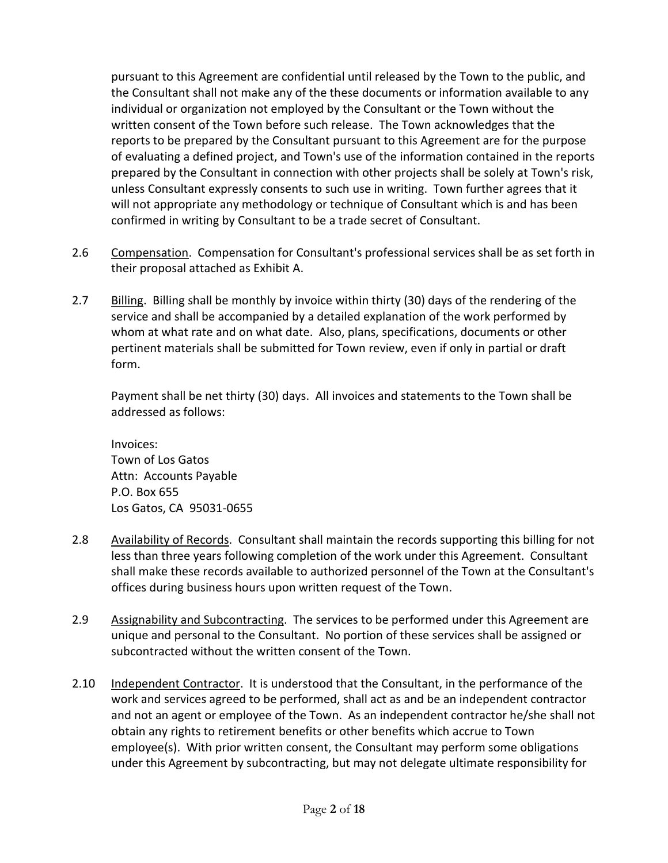pursuant to this Agreement are confidential until released by the Town to the public, and the Consultant shall not make any of the these documents or information available to any individual or organization not employed by the Consultant or the Town without the written consent of the Town before such release. The Town acknowledges that the reports to be prepared by the Consultant pursuant to this Agreement are for the purpose of evaluating a defined project, and Town's use of the information contained in the reports prepared by the Consultant in connection with other projects shall be solely at Town's risk, unless Consultant expressly consents to such use in writing. Town further agrees that it will not appropriate any methodology or technique of Consultant which is and has been confirmed in writing by Consultant to be a trade secret of Consultant.

- 2.6 Compensation. Compensation for Consultant's professional services shall be as set forth in their proposal attached as Exhibit A.
- 2.7 Billing. Billing shall be monthly by invoice within thirty (30) days of the rendering of the service and shall be accompanied by a detailed explanation of the work performed by whom at what rate and on what date. Also, plans, specifications, documents or other pertinent materials shall be submitted for Town review, even if only in partial or draft form.

Payment shall be net thirty (30) days. All invoices and statements to the Town shall be addressed as follows:

Invoices: Town of Los Gatos Attn: Accounts Payable P.O. Box 655 Los Gatos, CA 95031-0655

- 2.8 Availability of Records. Consultant shall maintain the records supporting this billing for not less than three years following completion of the work under this Agreement. Consultant shall make these records available to authorized personnel of the Town at the Consultant's offices during business hours upon written request of the Town.
- 2.9 Assignability and Subcontracting. The services to be performed under this Agreement are unique and personal to the Consultant. No portion of these services shall be assigned or subcontracted without the written consent of the Town.
- 2.10 Independent Contractor. It is understood that the Consultant, in the performance of the work and services agreed to be performed, shall act as and be an independent contractor and not an agent or employee of the Town. As an independent contractor he/she shall not obtain any rights to retirement benefits or other benefits which accrue to Town employee(s). With prior written consent, the Consultant may perform some obligations under this Agreement by subcontracting, but may not delegate ultimate responsibility for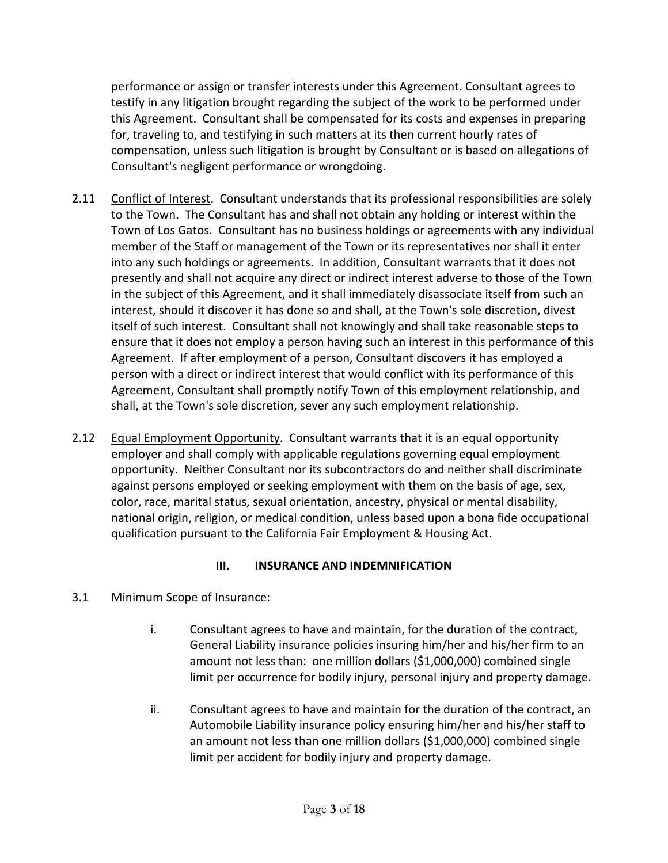performance or assign or transfer interests under this Agreement. Consultant agrees to testify in any litigation brought regarding the subject of the work to be performed under this Agreement. Consultant shall be compensated for its costs and expenses in preparing for, traveling to, and testifying in such matters at its then current hourly rates of compensation, unless such litigation is brought by Consultant or is based on allegations of Consultant's negligent performance or wrongdoing.

- 2.11 Conflict of Interest. Consultant understands that its professional responsibilities are solely to the Town. The Consultant has and shall not obtain any holding or interest within the Town of Los Gatos. Consultant has no business holdings or agreements with any individual member of the Staff or management of the Town or its representatives nor shall it enter into any such holdings or agreements. In addition, Consultant warrants that it does not presently and shall not acquire any direct or indirect interest adverse to those of the Town in the subject of this Agreement, and it shall immediately disassociate itself from such an interest, should it discover it has done so and shall, at the Town's sole discretion, divest itself of such interest. Consultant shall not knowingly and shall take reasonable steps to ensure that it does not employ a person having such an interest in this performance of this Agreement. If after employment of a person, Consultant discovers it has employed a person with a direct or indirect interest that would conflict with its performance of this Agreement, Consultant shall promptly notify Town of this employment relationship, and shall, at the Town's sole discretion, sever any such employment relationship.
- 2.12 Equal Employment Opportunity. Consultant warrants that it is an equal opportunity employer and shall comply with applicable regulations governing equal employment opportunity. Neither Consultant nor its subcontractors do and neither shall discriminate against persons employed or seeking employment with them on the basis of age, sex, color, race, marital status, sexual orientation, ancestry, physical or mental disability, national origin, religion, or medical condition, unless based upon a bona fide occupational qualification pursuant to the California Fair Employment & Housing Act.

# **III. INSURANCE AND INDEMNIFICATION**

- 3.1 Minimum Scope of Insurance:
	- i. Consultant agrees to have and maintain, for the duration of the contract, General Liability insurance policies insuring him/her and his/her firm to an amount not less than: one million dollars (\$1,000,000) combined single limit per occurrence for bodily injury, personal injury and property damage.
	- ii. Consultant agrees to have and maintain for the duration of the contract, an Automobile Liability insurance policy ensuring him/her and his/her staff to an amount not less than one million dollars (\$1,000,000) combined single limit per accident for bodily injury and property damage.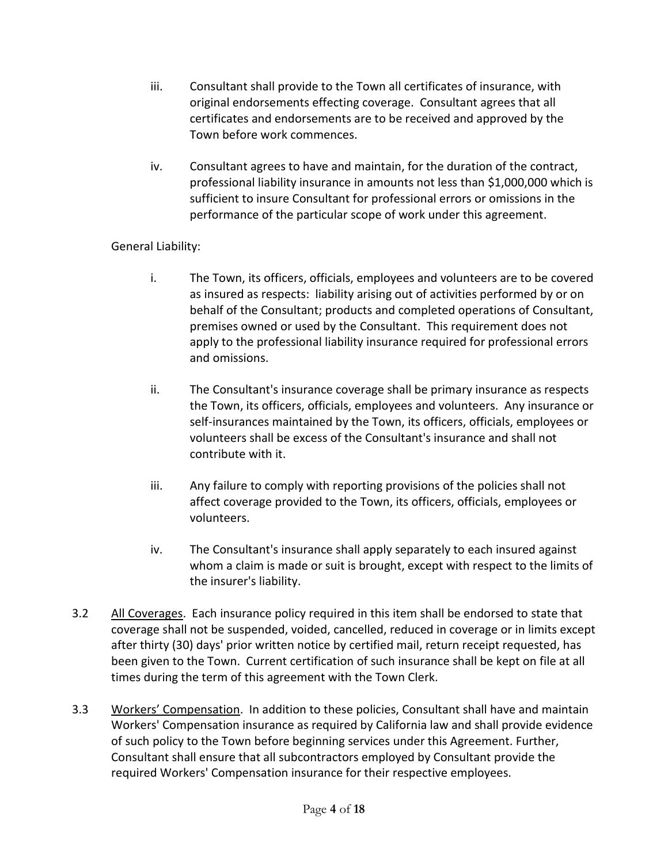- iii. Consultant shall provide to the Town all certificates of insurance, with original endorsements effecting coverage. Consultant agrees that all certificates and endorsements are to be received and approved by the Town before work commences.
- iv. Consultant agrees to have and maintain, for the duration of the contract, professional liability insurance in amounts not less than \$1,000,000 which is sufficient to insure Consultant for professional errors or omissions in the performance of the particular scope of work under this agreement.

# General Liability:

- i. The Town, its officers, officials, employees and volunteers are to be covered as insured as respects: liability arising out of activities performed by or on behalf of the Consultant; products and completed operations of Consultant, premises owned or used by the Consultant. This requirement does not apply to the professional liability insurance required for professional errors and omissions.
- ii. The Consultant's insurance coverage shall be primary insurance as respects the Town, its officers, officials, employees and volunteers. Any insurance or self-insurances maintained by the Town, its officers, officials, employees or volunteers shall be excess of the Consultant's insurance and shall not contribute with it.
- iii. Any failure to comply with reporting provisions of the policies shall not affect coverage provided to the Town, its officers, officials, employees or volunteers.
- iv. The Consultant's insurance shall apply separately to each insured against whom a claim is made or suit is brought, except with respect to the limits of the insurer's liability.
- 3.2 All Coverages. Each insurance policy required in this item shall be endorsed to state that coverage shall not be suspended, voided, cancelled, reduced in coverage or in limits except after thirty (30) days' prior written notice by certified mail, return receipt requested, has been given to the Town. Current certification of such insurance shall be kept on file at all times during the term of this agreement with the Town Clerk.
- 3.3 Workers' Compensation. In addition to these policies, Consultant shall have and maintain Workers' Compensation insurance as required by California law and shall provide evidence of such policy to the Town before beginning services under this Agreement. Further, Consultant shall ensure that all subcontractors employed by Consultant provide the required Workers' Compensation insurance for their respective employees.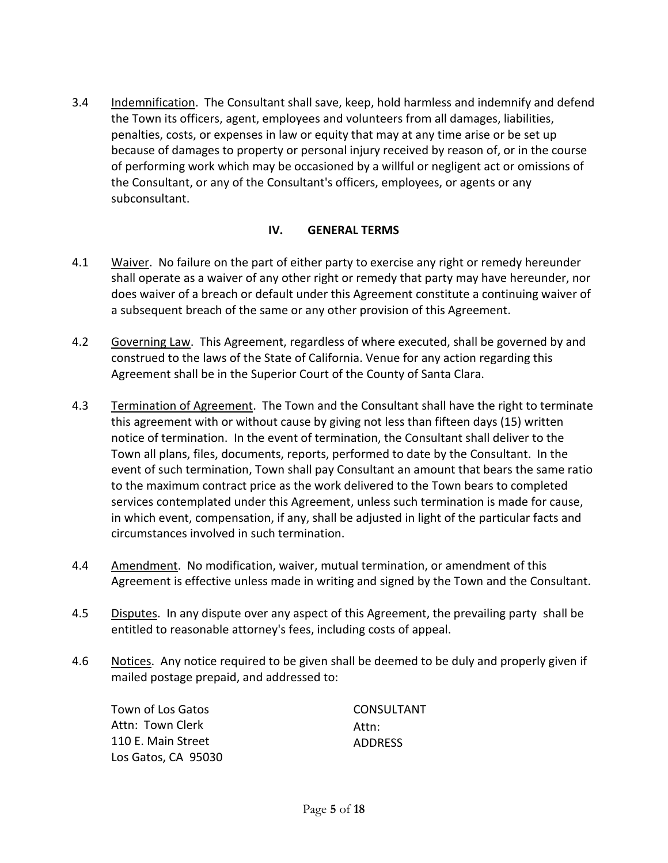3.4 Indemnification. The Consultant shall save, keep, hold harmless and indemnify and defend the Town its officers, agent, employees and volunteers from all damages, liabilities, penalties, costs, or expenses in law or equity that may at any time arise or be set up because of damages to property or personal injury received by reason of, or in the course of performing work which may be occasioned by a willful or negligent act or omissions of the Consultant, or any of the Consultant's officers, employees, or agents or any subconsultant.

## **IV. GENERAL TERMS**

- 4.1 Waiver. No failure on the part of either party to exercise any right or remedy hereunder shall operate as a waiver of any other right or remedy that party may have hereunder, nor does waiver of a breach or default under this Agreement constitute a continuing waiver of a subsequent breach of the same or any other provision of this Agreement.
- 4.2 Governing Law. This Agreement, regardless of where executed, shall be governed by and construed to the laws of the State of California. Venue for any action regarding this Agreement shall be in the Superior Court of the County of Santa Clara.
- 4.3 Termination of Agreement. The Town and the Consultant shall have the right to terminate this agreement with or without cause by giving not less than fifteen days (15) written notice of termination. In the event of termination, the Consultant shall deliver to the Town all plans, files, documents, reports, performed to date by the Consultant. In the event of such termination, Town shall pay Consultant an amount that bears the same ratio to the maximum contract price as the work delivered to the Town bears to completed services contemplated under this Agreement, unless such termination is made for cause, in which event, compensation, if any, shall be adjusted in light of the particular facts and circumstances involved in such termination.
- 4.4 Amendment. No modification, waiver, mutual termination, or amendment of this Agreement is effective unless made in writing and signed by the Town and the Consultant.
- 4.5 Disputes. In any dispute over any aspect of this Agreement, the prevailing party shall be entitled to reasonable attorney's fees, including costs of appeal.
- 4.6 Notices. Any notice required to be given shall be deemed to be duly and properly given if mailed postage prepaid, and addressed to:

Town of Los Gatos Attn: Town Clerk 110 E. Main Street Los Gatos, CA 95030 CONSULTANT Attn: ADDRESS